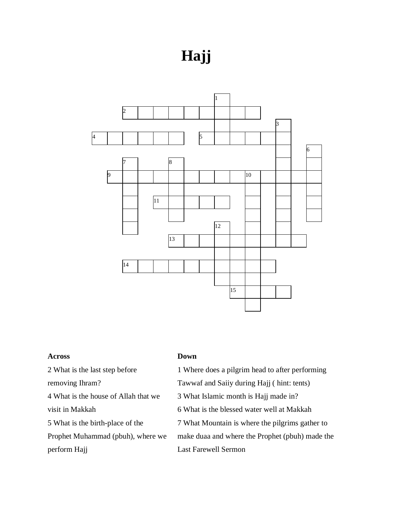## **Hajj**



## **Across**

What is the last step before

removing Ihram?

 What is the house of Allah that we visit in Makkah

What is the birth-place of the

Prophet Muhammad (pbuh), where we perform Hajj

## **Down**

Where does a pilgrim head to after performing

Tawwaf and Saiiy during Hajj ( hint: tents)

What Islamic month is Hajj made in?

What is the blessed water well at Makkah

What Mountain is where the pilgrims gather to

make duaa and where the Prophet (pbuh) made the Last Farewell Sermon